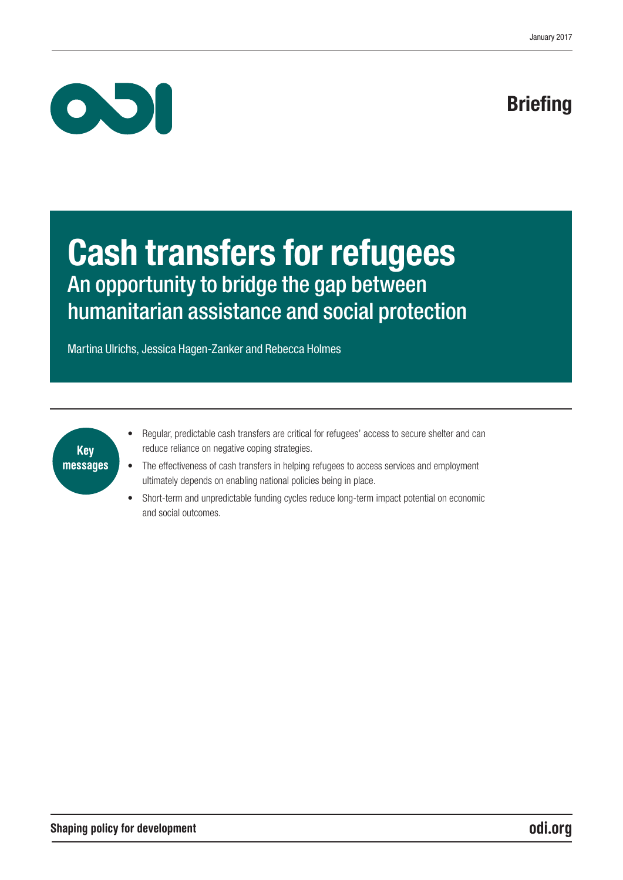

# **Briefing**

# Cash transfers for refugees An opportunity to bridge the gap between humanitarian assistance and social protection

Martina Ulrichs, Jessica Hagen-Zanker and Rebecca Holmes

### Key messages

- Regular, predictable cash transfers are critical for refugees' access to secure shelter and can reduce reliance on negative coping strategies.
- The effectiveness of cash transfers in helping refugees to access services and employment ultimately depends on enabling national policies being in place.
- Short-term and unpredictable funding cycles reduce long-term impact potential on economic and social outcomes.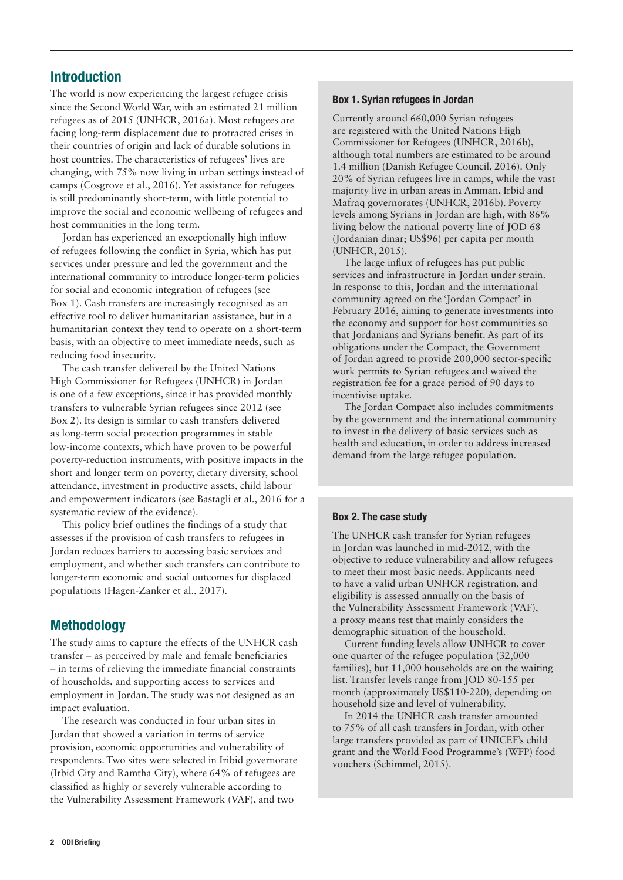#### Introduction

The world is now experiencing the largest refugee crisis since the Second World War, with an estimated 21 million refugees as of 2015 (UNHCR, 2016a). Most refugees are facing long-term displacement due to protracted crises in their countries of origin and lack of durable solutions in host countries. The characteristics of refugees' lives are changing, with 75% now living in urban settings instead of camps (Cosgrove et al., 2016). Yet assistance for refugees is still predominantly short-term, with little potential to improve the social and economic wellbeing of refugees and host communities in the long term.

Jordan has experienced an exceptionally high inflow of refugees following the conflict in Syria, which has put services under pressure and led the government and the international community to introduce longer-term policies for social and economic integration of refugees (see Box 1). Cash transfers are increasingly recognised as an effective tool to deliver humanitarian assistance, but in a humanitarian context they tend to operate on a short-term basis, with an objective to meet immediate needs, such as reducing food insecurity.

The cash transfer delivered by the United Nations High Commissioner for Refugees (UNHCR) in Jordan is one of a few exceptions, since it has provided monthly transfers to vulnerable Syrian refugees since 2012 (see Box 2). Its design is similar to cash transfers delivered as long-term social protection programmes in stable low-income contexts, which have proven to be powerful poverty-reduction instruments, with positive impacts in the short and longer term on poverty, dietary diversity, school attendance, investment in productive assets, child labour and empowerment indicators (see Bastagli et al., 2016 for a systematic review of the evidence).

This policy brief outlines the findings of a study that assesses if the provision of cash transfers to refugees in Jordan reduces barriers to accessing basic services and employment, and whether such transfers can contribute to longer-term economic and social outcomes for displaced populations (Hagen-Zanker et al., 2017).

#### Methodology

The study aims to capture the effects of the UNHCR cash transfer – as perceived by male and female beneficiaries – in terms of relieving the immediate financial constraints of households, and supporting access to services and employment in Jordan. The study was not designed as an impact evaluation.

The research was conducted in four urban sites in Jordan that showed a variation in terms of service provision, economic opportunities and vulnerability of respondents. Two sites were selected in Iribid governorate (Irbid City and Ramtha City), where 64% of refugees are classified as highly or severely vulnerable according to the Vulnerability Assessment Framework (VAF), and two

#### Box 1. Syrian refugees in Jordan

Currently around 660,000 Syrian refugees are registered with the United Nations High Commissioner for Refugees (UNHCR, 2016b), although total numbers are estimated to be around 1.4 million (Danish Refugee Council, 2016). Only 20% of Syrian refugees live in camps, while the vast majority live in urban areas in Amman, Irbid and Mafraq governorates (UNHCR, 2016b). Poverty levels among Syrians in Jordan are high, with 86% living below the national poverty line of JOD 68 (Jordanian dinar; US\$96) per capita per month (UNHCR, 2015).

The large influx of refugees has put public services and infrastructure in Jordan under strain. In response to this, Jordan and the international community agreed on the 'Jordan Compact' in February 2016, aiming to generate investments into the economy and support for host communities so that Jordanians and Syrians benefit. As part of its obligations under the Compact, the Government of Jordan agreed to provide 200,000 sector-specific work permits to Syrian refugees and waived the registration fee for a grace period of 90 days to incentivise uptake.

The Jordan Compact also includes commitments by the government and the international community to invest in the delivery of basic services such as health and education, in order to address increased demand from the large refugee population.

#### Box 2. The case study

The UNHCR cash transfer for Syrian refugees in Jordan was launched in mid-2012, with the objective to reduce vulnerability and allow refugees to meet their most basic needs. Applicants need to have a valid urban UNHCR registration, and eligibility is assessed annually on the basis of the Vulnerability Assessment Framework (VAF), a proxy means test that mainly considers the demographic situation of the household.

Current funding levels allow UNHCR to cover one quarter of the refugee population (32,000 families), but 11,000 households are on the waiting list. Transfer levels range from JOD 80-155 per month (approximately US\$110-220), depending on household size and level of vulnerability.

In 2014 the UNHCR cash transfer amounted to 75% of all cash transfers in Jordan, with other large transfers provided as part of UNICEF's child grant and the World Food Programme's (WFP) food vouchers (Schimmel, 2015).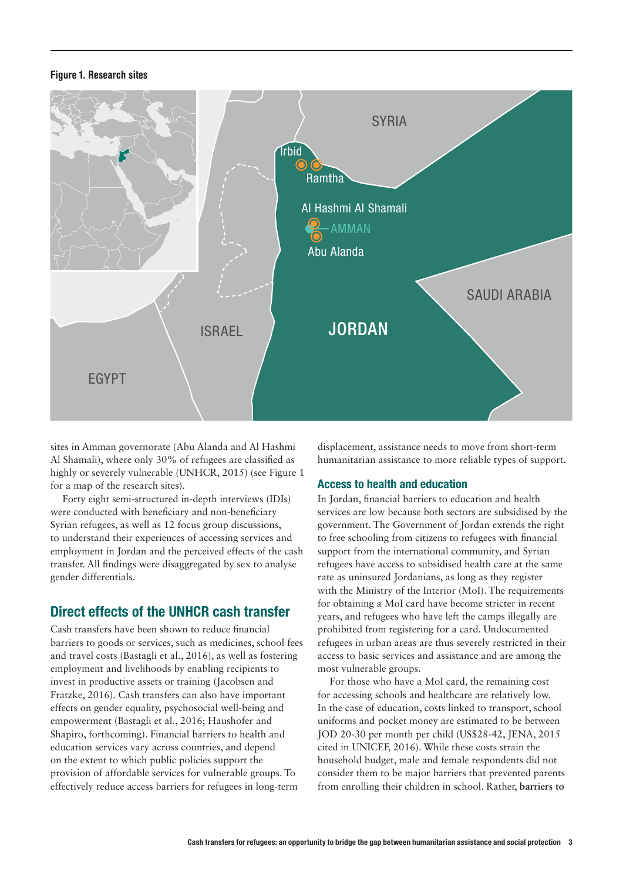#### Figure 1. Research sites



sites in Amman governorate (Abu Alanda and Al Hashmi Al Shamali), where only 30% of refugees are classified as highly or severely vulnerable (UNHCR, 2015) (see Figure 1 for a map of the research sites).

Forty eight semi-structured in-depth interviews (IDIs) were conducted with beneficiary and non-beneficiary Syrian refugees, as well as 12 focus group discussions, to understand their experiences of accessing services and employment in Jordan and the perceived effects of the cash transfer. All findings were disaggregated by sex to analyse gender differentials.

#### Direct effects of the UNHCR cash transfer

Cash transfers have been shown to reduce financial barriers to goods or services, such as medicines, school fees and travel costs (Bastagli et al., 2016), as well as fostering employment and livelihoods by enabling recipients to invest in productive assets or training (Jacobsen and Fratzke, 2016). Cash transfers can also have important effects on gender equality, psychosocial well-being and empowerment (Bastagli et al., 2016; Haushofer and Shapiro, forthcoming). Financial barriers to health and education services vary across countries, and depend on the extent to which public policies support the provision of affordable services for vulnerable groups. To effectively reduce access barriers for refugees in long-term

displacement, assistance needs to move from short-term humanitarian assistance to more reliable types of support.

#### Access to health and education

In Jordan, financial barriers to education and health services are low because both sectors are subsidised by the government. The Government of Jordan extends the right to free schooling from citizens to refugees with financial support from the international community, and Syrian refugees have access to subsidised health care at the same rate as uninsured Jordanians, as long as they register with the Ministry of the Interior (MoI). The requirements for obtaining a MoI card have become stricter in recent years, and refugees who have left the camps illegally are prohibited from registering for a card. Undocumented refugees in urban areas are thus severely restricted in their access to basic services and assistance and are among the most vulnerable groups.

For those who have a MoI card, the remaining cost for accessing schools and healthcare are relatively low. In the case of education, costs linked to transport, school uniforms and pocket money are estimated to be between JOD 20-30 per month per child (US\$28-42, JENA, 2015 cited in UNICEF, 2016). While these costs strain the household budget, male and female respondents did not consider them to be major barriers that prevented parents from enrolling their children in school. Rather, **barriers to**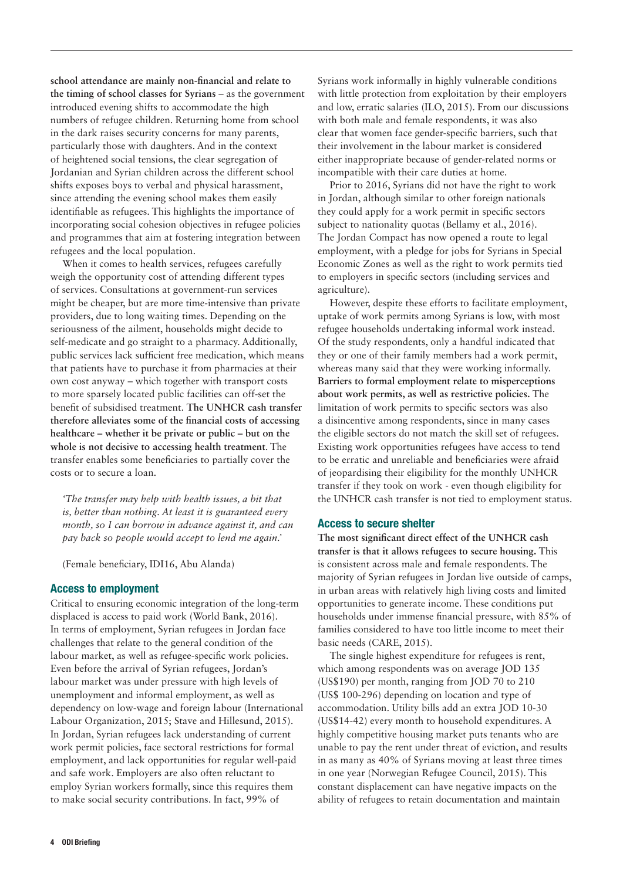**school attendance are mainly non-financial and relate to the timing of school classes for Syrians** – as the government introduced evening shifts to accommodate the high numbers of refugee children. Returning home from school in the dark raises security concerns for many parents, particularly those with daughters. And in the context of heightened social tensions, the clear segregation of Jordanian and Syrian children across the different school shifts exposes boys to verbal and physical harassment, since attending the evening school makes them easily identifiable as refugees. This highlights the importance of incorporating social cohesion objectives in refugee policies and programmes that aim at fostering integration between refugees and the local population.

When it comes to health services, refugees carefully weigh the opportunity cost of attending different types of services. Consultations at government-run services might be cheaper, but are more time-intensive than private providers, due to long waiting times. Depending on the seriousness of the ailment, households might decide to self-medicate and go straight to a pharmacy. Additionally, public services lack sufficient free medication, which means that patients have to purchase it from pharmacies at their own cost anyway – which together with transport costs to more sparsely located public facilities can off-set the benefit of subsidised treatment. **The UNHCR cash transfer therefore alleviates some of the financial costs of accessing healthcare – whether it be private or public – but on the whole is not decisive to accessing health treatment**. The transfer enables some beneficiaries to partially cover the costs or to secure a loan.

*'The transfer may help with health issues, a bit that is, better than nothing. At least it is guaranteed every month, so I can borrow in advance against it, and can pay back so people would accept to lend me again.'* 

(Female beneficiary, IDI16, Abu Alanda)

#### Access to employment

Critical to ensuring economic integration of the long-term displaced is access to paid work (World Bank, 2016). In terms of employment, Syrian refugees in Jordan face challenges that relate to the general condition of the labour market, as well as refugee-specific work policies. Even before the arrival of Syrian refugees, Jordan's labour market was under pressure with high levels of unemployment and informal employment, as well as dependency on low-wage and foreign labour (International Labour Organization, 2015; Stave and Hillesund, 2015). In Jordan, Syrian refugees lack understanding of current work permit policies, face sectoral restrictions for formal employment, and lack opportunities for regular well-paid and safe work. Employers are also often reluctant to employ Syrian workers formally, since this requires them to make social security contributions. In fact, 99% of

Syrians work informally in highly vulnerable conditions with little protection from exploitation by their employers and low, erratic salaries (ILO, 2015). From our discussions with both male and female respondents, it was also clear that women face gender-specific barriers, such that their involvement in the labour market is considered either inappropriate because of gender-related norms or incompatible with their care duties at home.

Prior to 2016, Syrians did not have the right to work in Jordan, although similar to other foreign nationals they could apply for a work permit in specific sectors subject to nationality quotas (Bellamy et al., 2016). The Jordan Compact has now opened a route to legal employment, with a pledge for jobs for Syrians in Special Economic Zones as well as the right to work permits tied to employers in specific sectors (including services and agriculture).

However, despite these efforts to facilitate employment, uptake of work permits among Syrians is low, with most refugee households undertaking informal work instead. Of the study respondents, only a handful indicated that they or one of their family members had a work permit, whereas many said that they were working informally. **Barriers to formal employment relate to misperceptions about work permits, as well as restrictive policies.** The limitation of work permits to specific sectors was also a disincentive among respondents, since in many cases the eligible sectors do not match the skill set of refugees. Existing work opportunities refugees have access to tend to be erratic and unreliable and beneficiaries were afraid of jeopardising their eligibility for the monthly UNHCR transfer if they took on work - even though eligibility for the UNHCR cash transfer is not tied to employment status.

#### Access to secure shelter

**The most significant direct effect of the UNHCR cash transfer is that it allows refugees to secure housing.** This is consistent across male and female respondents. The majority of Syrian refugees in Jordan live outside of camps, in urban areas with relatively high living costs and limited opportunities to generate income. These conditions put households under immense financial pressure, with 85% of families considered to have too little income to meet their basic needs (CARE, 2015).

The single highest expenditure for refugees is rent, which among respondents was on average JOD 135 (US\$190) per month, ranging from JOD 70 to 210 (US\$ 100-296) depending on location and type of accommodation. Utility bills add an extra JOD 10-30 (US\$14-42) every month to household expenditures. A highly competitive housing market puts tenants who are unable to pay the rent under threat of eviction, and results in as many as 40% of Syrians moving at least three times in one year (Norwegian Refugee Council, 2015). This constant displacement can have negative impacts on the ability of refugees to retain documentation and maintain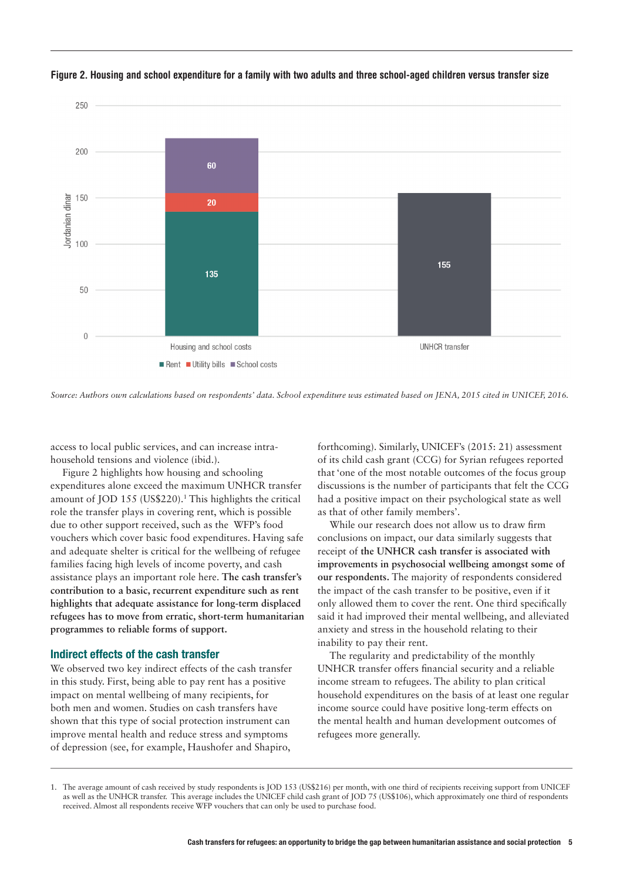

Figure 2. Housing and school expenditure for a family with two adults and three school-aged children versus transfer size

access to local public services, and can increase intrahousehold tensions and violence (ibid.).

Figure 2 highlights how housing and schooling expenditures alone exceed the maximum UNHCR transfer amount of JOD 155 (US\$220).<sup>1</sup> This highlights the critical role the transfer plays in covering rent, which is possible due to other support received, such as the WFP's food vouchers which cover basic food expenditures. Having safe and adequate shelter is critical for the wellbeing of refugee families facing high levels of income poverty, and cash assistance plays an important role here. **The cash transfer's contribution to a basic, recurrent expenditure such as rent highlights that adequate assistance for long-term displaced refugees has to move from erratic, short-term humanitarian programmes to reliable forms of support.** 

#### Indirect effects of the cash transfer

We observed two key indirect effects of the cash transfer in this study. First, being able to pay rent has a positive impact on mental wellbeing of many recipients, for both men and women. Studies on cash transfers have shown that this type of social protection instrument can improve mental health and reduce stress and symptoms of depression (see, for example, Haushofer and Shapiro,

forthcoming). Similarly, UNICEF's (2015: 21) assessment of its child cash grant (CCG) for Syrian refugees reported that 'one of the most notable outcomes of the focus group discussions is the number of participants that felt the CCG had a positive impact on their psychological state as well as that of other family members'.

While our research does not allow us to draw firm conclusions on impact, our data similarly suggests that receipt of **the UNHCR cash transfer is associated with improvements in psychosocial wellbeing amongst some of our respondents.** The majority of respondents considered the impact of the cash transfer to be positive, even if it only allowed them to cover the rent. One third specifically said it had improved their mental wellbeing, and alleviated anxiety and stress in the household relating to their inability to pay their rent.

The regularity and predictability of the monthly UNHCR transfer offers financial security and a reliable income stream to refugees. The ability to plan critical household expenditures on the basis of at least one regular income source could have positive long-term effects on the mental health and human development outcomes of refugees more generally.

*Source: Authors own calculations based on respondents' data. School expenditure was estimated based on JENA, 2015 cited in UNICEF, 2016.* 

<sup>1.</sup> The average amount of cash received by study respondents is JOD 153 (US\$216) per month, with one third of recipients receiving support from UNICEF as well as the UNHCR transfer. This average includes the UNICEF child cash grant of JOD 75 (US\$106), which approximately one third of respondents received. Almost all respondents receive WFP vouchers that can only be used to purchase food.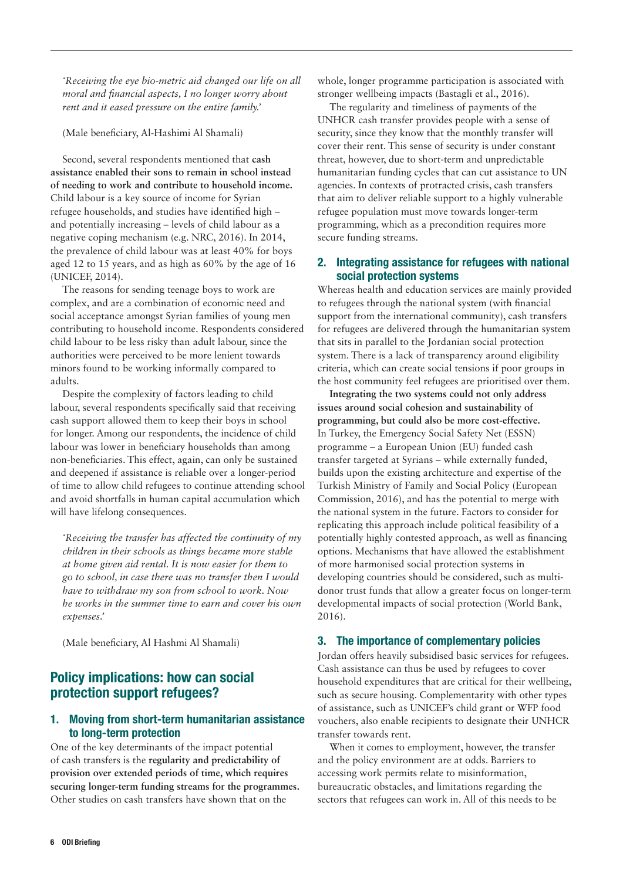*'Receiving the eye bio-metric aid changed our life on all moral and financial aspects, I no longer worry about rent and it eased pressure on the entire family.'* 

(Male beneficiary, Al-Hashimi Al Shamali)

Second, several respondents mentioned that **cash assistance enabled their sons to remain in school instead of needing to work and contribute to household income.**  Child labour is a key source of income for Syrian refugee households, and studies have identified high – and potentially increasing – levels of child labour as a negative coping mechanism (e.g. NRC, 2016). In 2014, the prevalence of child labour was at least 40% for boys aged 12 to 15 years, and as high as 60% by the age of 16 (UNICEF, 2014).

The reasons for sending teenage boys to work are complex, and are a combination of economic need and social acceptance amongst Syrian families of young men contributing to household income. Respondents considered child labour to be less risky than adult labour, since the authorities were perceived to be more lenient towards minors found to be working informally compared to adults.

Despite the complexity of factors leading to child labour, several respondents specifically said that receiving cash support allowed them to keep their boys in school for longer. Among our respondents, the incidence of child labour was lower in beneficiary households than among non-beneficiaries. This effect, again, can only be sustained and deepened if assistance is reliable over a longer-period of time to allow child refugees to continue attending school and avoid shortfalls in human capital accumulation which will have lifelong consequences.

*'Receiving the transfer has affected the continuity of my children in their schools as things became more stable at home given aid rental. It is now easier for them to go to school, in case there was no transfer then I would have to withdraw my son from school to work. Now he works in the summer time to earn and cover his own expenses.'* 

(Male beneficiary, Al Hashmi Al Shamali)

#### Policy implications: how can social protection support refugees?

#### 1. Moving from short-term humanitarian assistance to long-term protection

One of the key determinants of the impact potential of cash transfers is the **regularity and predictability of provision over extended periods of time, which requires securing longer-term funding streams for the programmes.**  Other studies on cash transfers have shown that on the

whole, longer programme participation is associated with stronger wellbeing impacts (Bastagli et al., 2016).

The regularity and timeliness of payments of the UNHCR cash transfer provides people with a sense of security, since they know that the monthly transfer will cover their rent. This sense of security is under constant threat, however, due to short-term and unpredictable humanitarian funding cycles that can cut assistance to UN agencies. In contexts of protracted crisis, cash transfers that aim to deliver reliable support to a highly vulnerable refugee population must move towards longer-term programming, which as a precondition requires more secure funding streams.

#### 2. Integrating assistance for refugees with national social protection systems

Whereas health and education services are mainly provided to refugees through the national system (with financial support from the international community), cash transfers for refugees are delivered through the humanitarian system that sits in parallel to the Jordanian social protection system. There is a lack of transparency around eligibility criteria, which can create social tensions if poor groups in the host community feel refugees are prioritised over them.

**Integrating the two systems could not only address issues around social cohesion and sustainability of programming, but could also be more cost-effective.**  In Turkey, the Emergency Social Safety Net (ESSN) programme – a European Union (EU) funded cash transfer targeted at Syrians – while externally funded, builds upon the existing architecture and expertise of the Turkish Ministry of Family and Social Policy (European Commission, 2016), and has the potential to merge with the national system in the future. Factors to consider for replicating this approach include political feasibility of a potentially highly contested approach, as well as financing options. Mechanisms that have allowed the establishment of more harmonised social protection systems in developing countries should be considered, such as multidonor trust funds that allow a greater focus on longer-term developmental impacts of social protection (World Bank, 2016).

#### 3. The importance of complementary policies

Jordan offers heavily subsidised basic services for refugees. Cash assistance can thus be used by refugees to cover household expenditures that are critical for their wellbeing, such as secure housing. Complementarity with other types of assistance, such as UNICEF's child grant or WFP food vouchers, also enable recipients to designate their UNHCR transfer towards rent.

When it comes to employment, however, the transfer and the policy environment are at odds. Barriers to accessing work permits relate to misinformation, bureaucratic obstacles, and limitations regarding the sectors that refugees can work in. All of this needs to be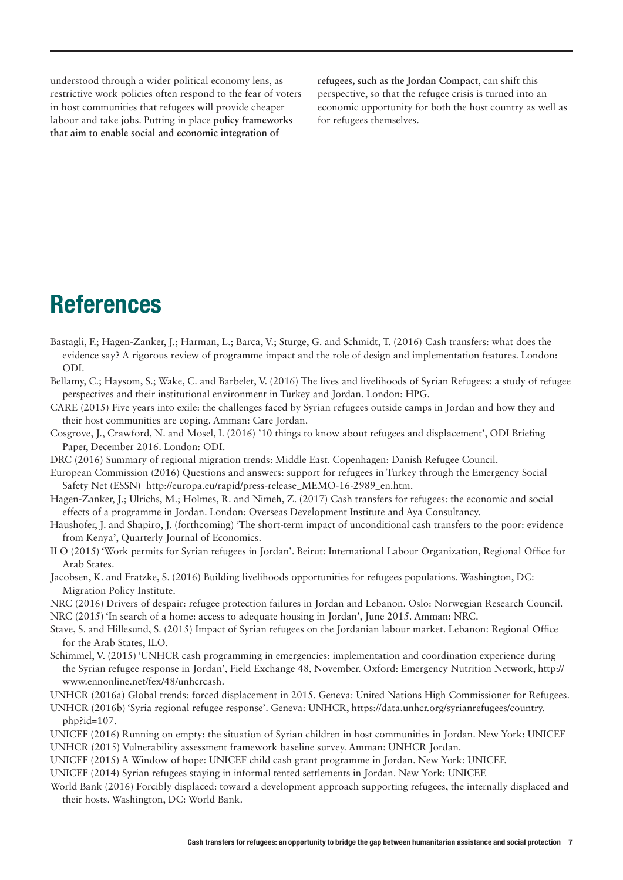understood through a wider political economy lens, as restrictive work policies often respond to the fear of voters in host communities that refugees will provide cheaper labour and take jobs. Putting in place **policy frameworks that aim to enable social and economic integration of** 

**refugees, such as the Jordan Compact**, can shift this perspective, so that the refugee crisis is turned into an economic opportunity for both the host country as well as for refugees themselves.

# **References**

- Bastagli, F.; Hagen-Zanker, J.; Harman, L.; Barca, V.; Sturge, G. and Schmidt, T. (2016) Cash transfers: what does the evidence say? A rigorous review of programme impact and the role of design and implementation features. London: ODI.
- Bellamy, C.; Haysom, S.; Wake, C. and Barbelet, V. (2016) The lives and livelihoods of Syrian Refugees: a study of refugee perspectives and their institutional environment in Turkey and Jordan. London: HPG.
- CARE (2015) Five years into exile: the challenges faced by Syrian refugees outside camps in Jordan and how they and their host communities are coping. Amman: Care Jordan.
- Cosgrove, J., Crawford, N. and Mosel, I. (2016) '10 things to know about refugees and displacement', ODI Briefing Paper, December 2016. London: ODI.
- DRC (2016) Summary of regional migration trends: Middle East. Copenhagen: Danish Refugee Council.
- European Commission (2016) Questions and answers: support for refugees in Turkey through the Emergency Social Safety Net (ESSN) http://europa.eu/rapid/press-release\_MEMO-16-2989\_en.htm.
- Hagen-Zanker, J.; Ulrichs, M.; Holmes, R. and Nimeh, Z. (2017) Cash transfers for refugees: the economic and social effects of a programme in Jordan. London: Overseas Development Institute and Aya Consultancy.
- Haushofer, J. and Shapiro, J. (forthcoming) 'The short-term impact of unconditional cash transfers to the poor: evidence from Kenya', Quarterly Journal of Economics.
- ILO (2015) 'Work permits for Syrian refugees in Jordan'. Beirut: International Labour Organization, Regional Office for Arab States.
- Jacobsen, K. and Fratzke, S. (2016) Building livelihoods opportunities for refugees populations. Washington, DC: Migration Policy Institute.
- NRC (2016) Drivers of despair: refugee protection failures in Jordan and Lebanon. Oslo: Norwegian Research Council. NRC (2015) 'In search of a home: access to adequate housing in Jordan', June 2015. Amman: NRC.
- Stave, S. and Hillesund, S. (2015) Impact of Syrian refugees on the Jordanian labour market. Lebanon: Regional Office for the Arab States, ILO.
- Schimmel, V. (2015) 'UNHCR cash programming in emergencies: implementation and coordination experience during the Syrian refugee response in Jordan', Field Exchange 48, November. Oxford: Emergency Nutrition Network, http:// www.ennonline.net/fex/48/unhcrcash.

UNHCR (2016a) Global trends: forced displacement in 2015. Geneva: United Nations High Commissioner for Refugees.

UNHCR (2016b) 'Syria regional refugee response'. Geneva: UNHCR, [https://data.unhcr.org/syrianrefugees/country.](http://data.unhcr.org/syrianrefugees/regional.php) [php?id=107.](http://data.unhcr.org/syrianrefugees/regional.php)

- UNICEF (2016) Running on empty: the situation of Syrian children in host communities in Jordan. New York: UNICEF UNHCR (2015) Vulnerability assessment framework baseline survey. Amman: UNHCR Jordan.
- UNICEF (2015) A Window of hope: UNICEF child cash grant programme in Jordan. New York: UNICEF.
- UNICEF (2014) Syrian refugees staying in informal tented settlements in Jordan. New York: UNICEF.
- World Bank (2016) Forcibly displaced: toward a development approach supporting refugees, the internally displaced and their hosts. Washington, DC: World Bank.